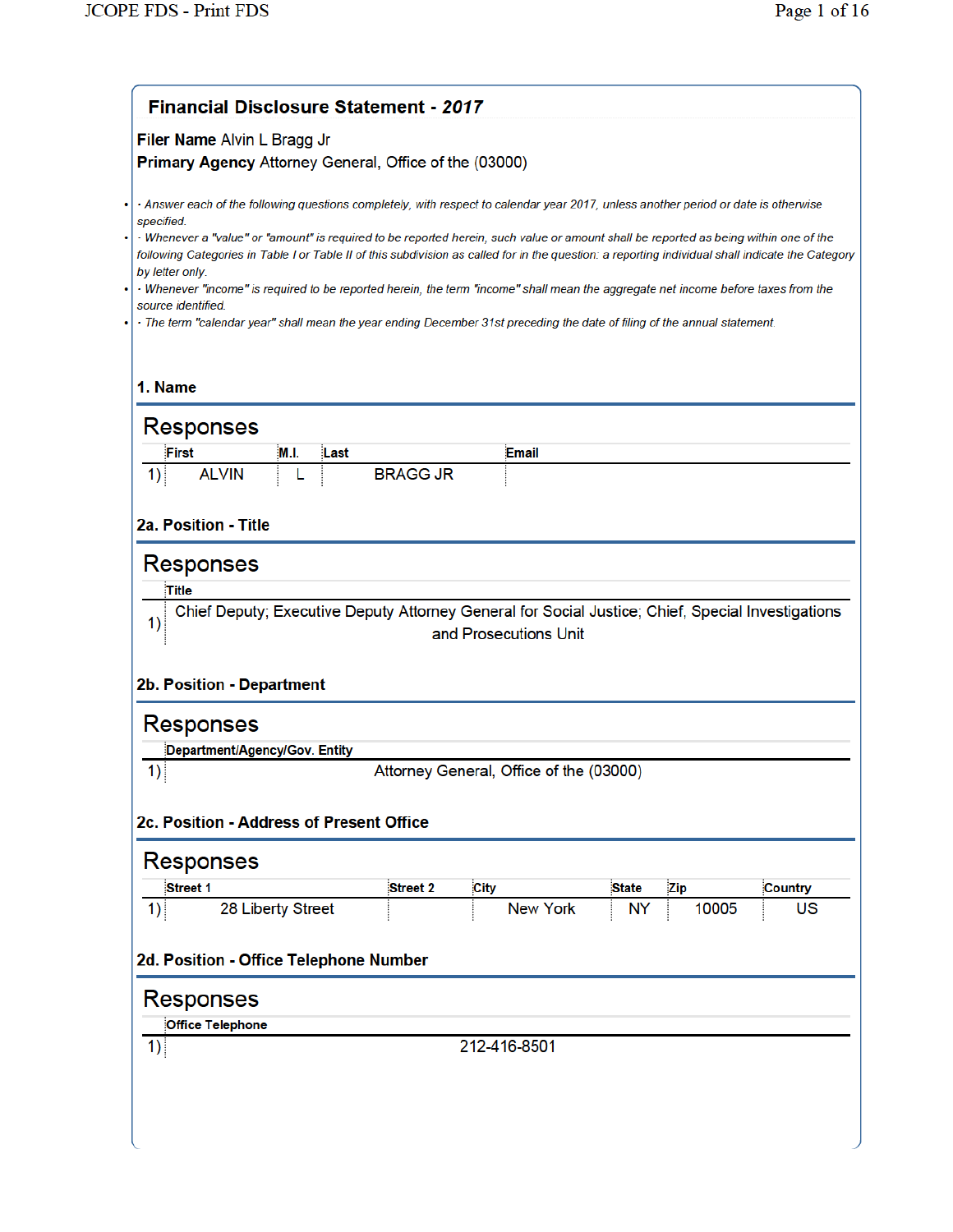|                                                                                                   | <b>Financial Disclosure Statement - 2017</b>                                                                                                                                                                                                                                                                                                                                                                                                                                                                                                                                                                                                                                                         |                       |                     |         |  |  |
|---------------------------------------------------------------------------------------------------|------------------------------------------------------------------------------------------------------------------------------------------------------------------------------------------------------------------------------------------------------------------------------------------------------------------------------------------------------------------------------------------------------------------------------------------------------------------------------------------------------------------------------------------------------------------------------------------------------------------------------------------------------------------------------------------------------|-----------------------|---------------------|---------|--|--|
| Filer Name Alvin L Bragg Jr<br>Primary Agency Attorney General, Office of the (03000)             |                                                                                                                                                                                                                                                                                                                                                                                                                                                                                                                                                                                                                                                                                                      |                       |                     |         |  |  |
| specified.<br>by letter only.<br>source identified.                                               | - Answer each of the following questions completely, with respect to calendar year 2017, unless another period or date is otherwise<br>· Whenever a "value" or "amount" is required to be reported herein, such value or amount shall be reported as being within one of the<br>following Categories in Table I or Table II of this subdivision as called for in the question: a reporting individual shall indicate the Category<br>· Whenever "income" is required to be reported herein, the term "income" shall mean the aggregate net income before taxes from the<br>· The term "calendar year" shall mean the year ending December 31st preceding the date of filing of the annual statement. |                       |                     |         |  |  |
| 1. Name                                                                                           |                                                                                                                                                                                                                                                                                                                                                                                                                                                                                                                                                                                                                                                                                                      |                       |                     |         |  |  |
| <b>Responses</b>                                                                                  |                                                                                                                                                                                                                                                                                                                                                                                                                                                                                                                                                                                                                                                                                                      |                       |                     |         |  |  |
| <b>First</b><br>M.I.<br>Last<br><b>ALVIN</b><br>1)                                                | <b>BRAGG JR</b>                                                                                                                                                                                                                                                                                                                                                                                                                                                                                                                                                                                                                                                                                      | Email                 |                     |         |  |  |
|                                                                                                   |                                                                                                                                                                                                                                                                                                                                                                                                                                                                                                                                                                                                                                                                                                      |                       |                     |         |  |  |
| 2a. Position - Title                                                                              |                                                                                                                                                                                                                                                                                                                                                                                                                                                                                                                                                                                                                                                                                                      |                       |                     |         |  |  |
| <b>Responses</b>                                                                                  |                                                                                                                                                                                                                                                                                                                                                                                                                                                                                                                                                                                                                                                                                                      |                       |                     |         |  |  |
| Title                                                                                             |                                                                                                                                                                                                                                                                                                                                                                                                                                                                                                                                                                                                                                                                                                      |                       |                     |         |  |  |
| Chief Deputy; Executive Deputy Attorney General for Social Justice; Chief, Special Investigations |                                                                                                                                                                                                                                                                                                                                                                                                                                                                                                                                                                                                                                                                                                      |                       |                     |         |  |  |
| 1)                                                                                                |                                                                                                                                                                                                                                                                                                                                                                                                                                                                                                                                                                                                                                                                                                      | and Prosecutions Unit |                     |         |  |  |
| 2b. Position - Department                                                                         |                                                                                                                                                                                                                                                                                                                                                                                                                                                                                                                                                                                                                                                                                                      |                       |                     |         |  |  |
| <b>Responses</b>                                                                                  |                                                                                                                                                                                                                                                                                                                                                                                                                                                                                                                                                                                                                                                                                                      |                       |                     |         |  |  |
| Department/Agency/Gov. Entity                                                                     |                                                                                                                                                                                                                                                                                                                                                                                                                                                                                                                                                                                                                                                                                                      |                       |                     |         |  |  |
| 1)                                                                                                | Attorney General, Office of the (03000)                                                                                                                                                                                                                                                                                                                                                                                                                                                                                                                                                                                                                                                              |                       |                     |         |  |  |
| 2c. Position - Address of Present Office                                                          |                                                                                                                                                                                                                                                                                                                                                                                                                                                                                                                                                                                                                                                                                                      |                       |                     |         |  |  |
| <b>Responses</b>                                                                                  |                                                                                                                                                                                                                                                                                                                                                                                                                                                                                                                                                                                                                                                                                                      |                       |                     |         |  |  |
| Street 1                                                                                          | Street 2<br><b>City</b>                                                                                                                                                                                                                                                                                                                                                                                                                                                                                                                                                                                                                                                                              |                       | Zip<br><b>State</b> | Country |  |  |
| 28 Liberty Street<br>1)                                                                           |                                                                                                                                                                                                                                                                                                                                                                                                                                                                                                                                                                                                                                                                                                      | <b>New York</b>       | 10005<br><b>NY</b>  | US      |  |  |
| 2d. Position - Office Telephone Number                                                            |                                                                                                                                                                                                                                                                                                                                                                                                                                                                                                                                                                                                                                                                                                      |                       |                     |         |  |  |
| <b>Responses</b>                                                                                  |                                                                                                                                                                                                                                                                                                                                                                                                                                                                                                                                                                                                                                                                                                      |                       |                     |         |  |  |
| <b>Office Telephone</b>                                                                           |                                                                                                                                                                                                                                                                                                                                                                                                                                                                                                                                                                                                                                                                                                      |                       |                     |         |  |  |
| 1)                                                                                                |                                                                                                                                                                                                                                                                                                                                                                                                                                                                                                                                                                                                                                                                                                      | 212-416-8501          |                     |         |  |  |
|                                                                                                   |                                                                                                                                                                                                                                                                                                                                                                                                                                                                                                                                                                                                                                                                                                      |                       |                     |         |  |  |
|                                                                                                   |                                                                                                                                                                                                                                                                                                                                                                                                                                                                                                                                                                                                                                                                                                      |                       |                     |         |  |  |
|                                                                                                   |                                                                                                                                                                                                                                                                                                                                                                                                                                                                                                                                                                                                                                                                                                      |                       |                     |         |  |  |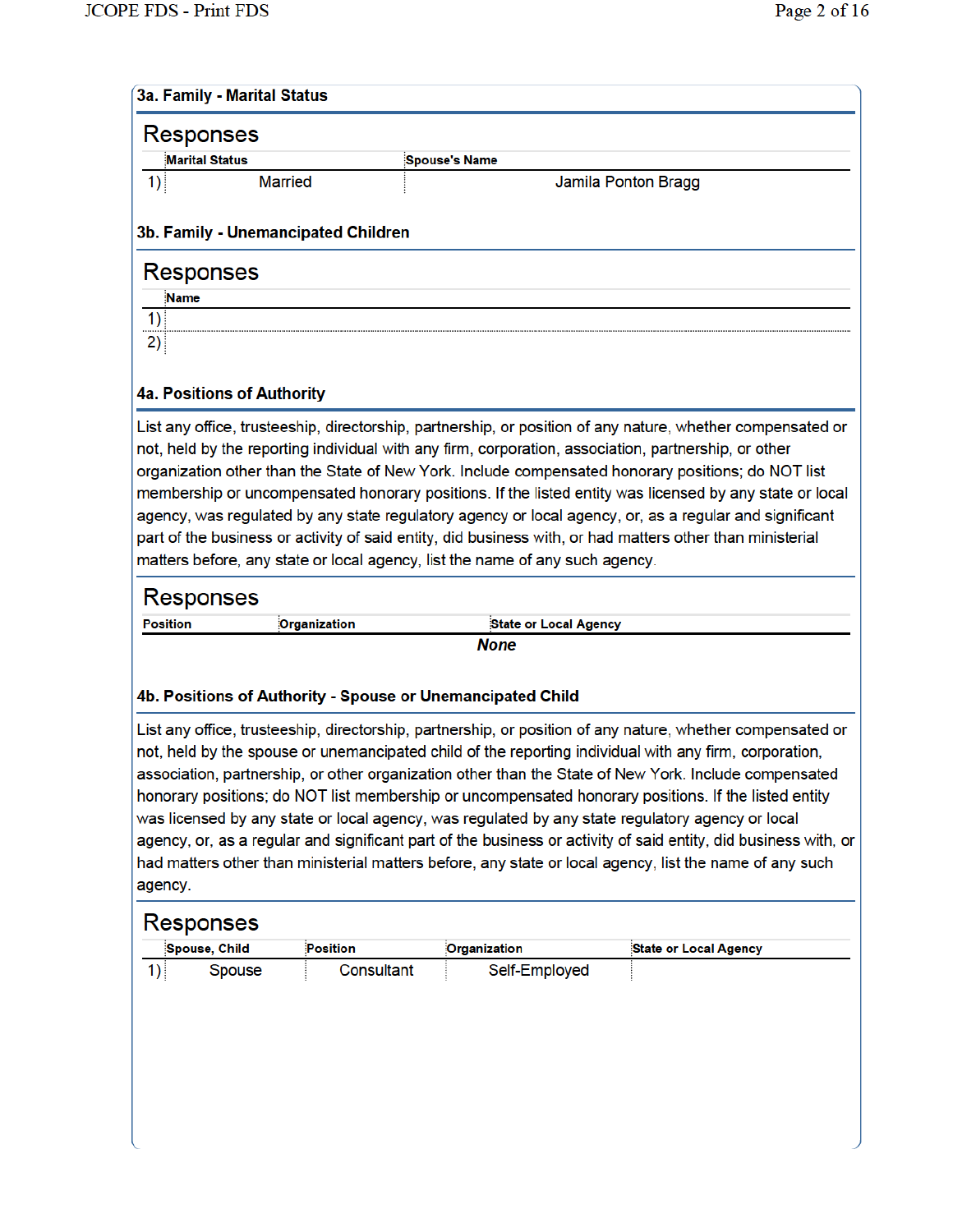| <b>Responses</b><br><b>Marital Status</b><br>1)<br>3b. Family - Unemancipated Children<br><b>Responses</b>                                                                                                                                                                                                                                                                                                                                                                                                                                                                                                                                                                                                                                 | <b>Married</b> | <b>Spouse's Name</b><br>Jamila Ponton Bragg |  |  |  |  |
|--------------------------------------------------------------------------------------------------------------------------------------------------------------------------------------------------------------------------------------------------------------------------------------------------------------------------------------------------------------------------------------------------------------------------------------------------------------------------------------------------------------------------------------------------------------------------------------------------------------------------------------------------------------------------------------------------------------------------------------------|----------------|---------------------------------------------|--|--|--|--|
|                                                                                                                                                                                                                                                                                                                                                                                                                                                                                                                                                                                                                                                                                                                                            |                |                                             |  |  |  |  |
|                                                                                                                                                                                                                                                                                                                                                                                                                                                                                                                                                                                                                                                                                                                                            |                |                                             |  |  |  |  |
|                                                                                                                                                                                                                                                                                                                                                                                                                                                                                                                                                                                                                                                                                                                                            |                |                                             |  |  |  |  |
|                                                                                                                                                                                                                                                                                                                                                                                                                                                                                                                                                                                                                                                                                                                                            |                |                                             |  |  |  |  |
| Name                                                                                                                                                                                                                                                                                                                                                                                                                                                                                                                                                                                                                                                                                                                                       |                |                                             |  |  |  |  |
| 1)                                                                                                                                                                                                                                                                                                                                                                                                                                                                                                                                                                                                                                                                                                                                         |                |                                             |  |  |  |  |
| 2)                                                                                                                                                                                                                                                                                                                                                                                                                                                                                                                                                                                                                                                                                                                                         |                |                                             |  |  |  |  |
|                                                                                                                                                                                                                                                                                                                                                                                                                                                                                                                                                                                                                                                                                                                                            |                |                                             |  |  |  |  |
| <b>4a. Positions of Authority</b>                                                                                                                                                                                                                                                                                                                                                                                                                                                                                                                                                                                                                                                                                                          |                |                                             |  |  |  |  |
| List any office, trusteeship, directorship, partnership, or position of any nature, whether compensated or<br>not, held by the reporting individual with any firm, corporation, association, partnership, or other<br>organization other than the State of New York. Include compensated honorary positions; do NOT list<br>membership or uncompensated honorary positions. If the listed entity was licensed by any state or local<br>agency, was regulated by any state regulatory agency or local agency, or, as a regular and significant<br>part of the business or activity of said entity, did business with, or had matters other than ministerial<br>matters before, any state or local agency, list the name of any such agency. |                |                                             |  |  |  |  |
| <b>Responses</b>                                                                                                                                                                                                                                                                                                                                                                                                                                                                                                                                                                                                                                                                                                                           |                |                                             |  |  |  |  |
| <b>Position</b>                                                                                                                                                                                                                                                                                                                                                                                                                                                                                                                                                                                                                                                                                                                            | Organization   | <b>State or Local Agency</b>                |  |  |  |  |
|                                                                                                                                                                                                                                                                                                                                                                                                                                                                                                                                                                                                                                                                                                                                            |                | <b>None</b>                                 |  |  |  |  |

# List any office, trusteeship, directorship, partnership, or position of any nature, whether compensated or not, held by the spouse or unemancipated child of the reporting individual with any firm, corporation, association, partnership, or other organization other than the State of New York. Include compensated honorary positions; do NOT list membership or uncompensated honorary positions. If the listed entity was licensed by any state or local agency, was regulated by any state regulatory agency or local agency, or, as a regular and significant part of the business or activity of said entity, did business with, or had matters other than ministerial matters before, any state or local agency, list the name of any such agency.

| Spouse, Child | Position   | Organization  | <b>State or Local Agency</b> |
|---------------|------------|---------------|------------------------------|
| Spouse        | Consultant | Self-Employed |                              |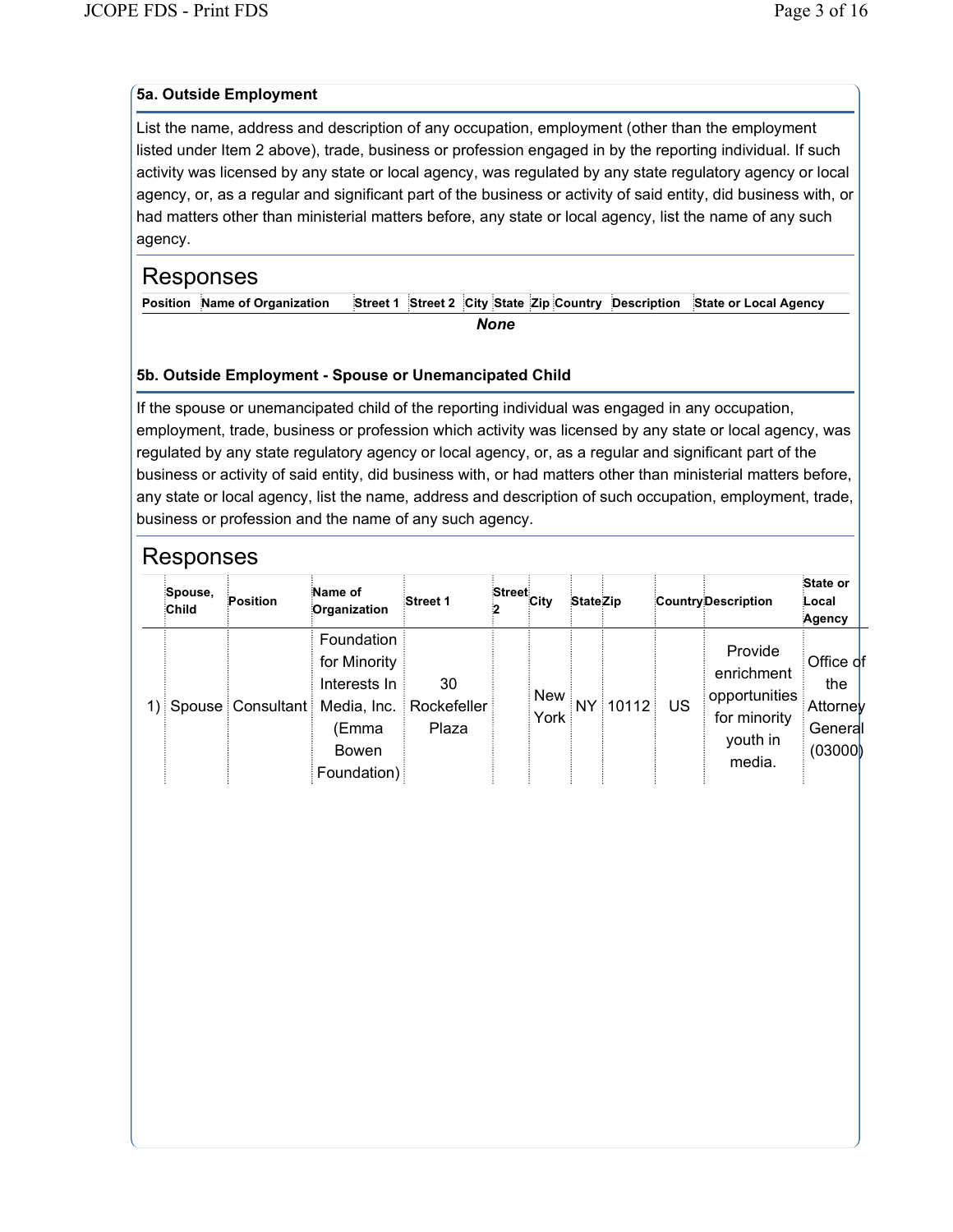### **5a. Outside Employment**

List the name, address and description of any occupation, employment (other than the employment listed under Item 2 above), trade, business or profession engaged in by the reporting individual. If such activity was licensed by any state or local agency, was regulated by any state regulatory agency or local agency, or, as a regular and significant part of the business or activity of said entity, did business with, or had matters other than ministerial matters before, any state or local agency, list the name of any such agency.

# Responses

**Position Name of Organization Street 1 Street 2 City State Zip Country Description State or Local Agency**

*None*

### **5b. Outside Employment - Spouse or Unemancipated Child**

If the spouse or unemancipated child of the reporting individual was engaged in any occupation, employment, trade, business or profession which activity was licensed by any state or local agency, was regulated by any state regulatory agency or local agency, or, as a regular and significant part of the business or activity of said entity, did business with, or had matters other than ministerial matters before, any state or local agency, list the name, address and description of such occupation, employment, trade, business or profession and the name of any such agency.

| Spouse,<br><b>Child</b> | Position | Name of<br>Organization                                                                                                     | Street 1    | Street<br>City | <b>StateZip</b> |             | <b>Country Description</b>                                                   | State or<br>Local<br>Agency                        |  |
|-------------------------|----------|-----------------------------------------------------------------------------------------------------------------------------|-------------|----------------|-----------------|-------------|------------------------------------------------------------------------------|----------------------------------------------------|--|
|                         |          | Foundation<br>for Minority<br>Interests In<br>1) Spouse Consultant Media, Inc. Rockefeller<br>(Emma<br>Bowen<br>Foundation) | 30<br>Plaza | New<br>York    |                 | NY 10112 US | Provide<br>enrichment<br>opportunities<br>for minority<br>youth in<br>media. | Office of<br>the<br>Attorney<br>General<br>(03000) |  |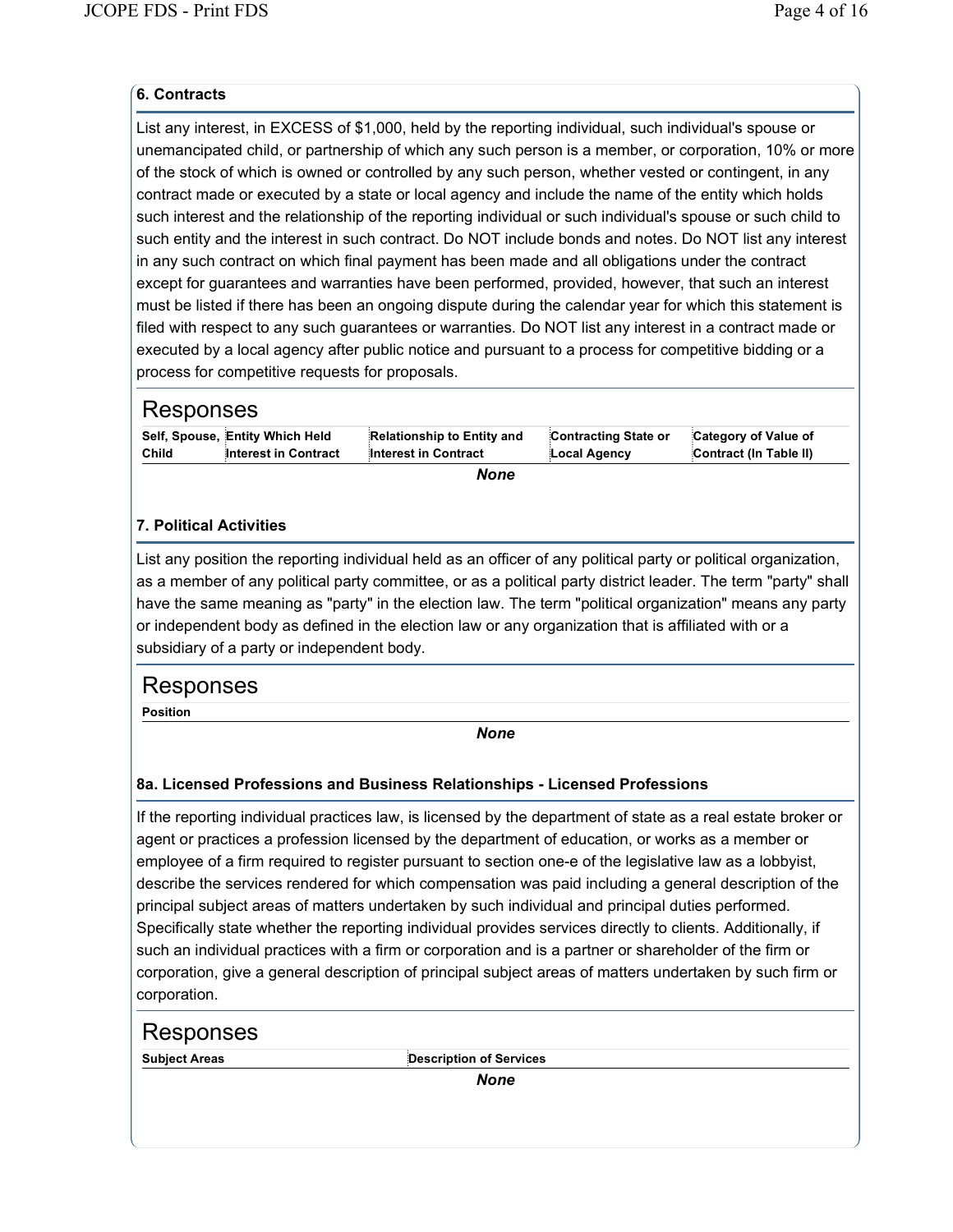### **6. Contracts**

List any interest, in EXCESS of \$1,000, held by the reporting individual, such individual's spouse or unemancipated child, or partnership of which any such person is a member, or corporation, 10% or more of the stock of which is owned or controlled by any such person, whether vested or contingent, in any contract made or executed by a state or local agency and include the name of the entity which holds such interest and the relationship of the reporting individual or such individual's spouse or such child to such entity and the interest in such contract. Do NOT include bonds and notes. Do NOT list any interest in any such contract on which final payment has been made and all obligations under the contract except for guarantees and warranties have been performed, provided, however, that such an interest must be listed if there has been an ongoing dispute during the calendar year for which this statement is filed with respect to any such guarantees or warranties. Do NOT list any interest in a contract made or executed by a local agency after public notice and pursuant to a process for competitive bidding or a process for competitive requests for proposals.

| Responses |                                 |                            |                      |                        |
|-----------|---------------------------------|----------------------------|----------------------|------------------------|
|           | Self, Spouse, Entity Which Held | Relationship to Entity and | Contracting State or | Category of Value of   |
| Child     | Interest in Contract            | Interest in Contract       | Local Agency         | Contract (In Table II) |
|           |                                 |                            |                      |                        |

#### *None*

#### **7. Political Activities**

List any position the reporting individual held as an officer of any political party or political organization, as a member of any political party committee, or as a political party district leader. The term "party" shall have the same meaning as "party" in the election law. The term "political organization" means any party or independent body as defined in the election law or any organization that is affiliated with or a subsidiary of a party or independent body.

## Responses

**Position**

*None*

### **8a. Licensed Professions and Business Relationships - Licensed Professions**

If the reporting individual practices law, is licensed by the department of state as a real estate broker or agent or practices a profession licensed by the department of education, or works as a member or employee of a firm required to register pursuant to section one-e of the legislative law as a lobbyist, describe the services rendered for which compensation was paid including a general description of the principal subject areas of matters undertaken by such individual and principal duties performed. Specifically state whether the reporting individual provides services directly to clients. Additionally, if such an individual practices with a firm or corporation and is a partner or shareholder of the firm or corporation, give a general description of principal subject areas of matters undertaken by such firm or corporation.

| Responses            |                                |  |
|----------------------|--------------------------------|--|
| <b>Subject Areas</b> | <b>Description of Services</b> |  |
|                      | <b>None</b>                    |  |
|                      |                                |  |
|                      |                                |  |
|                      |                                |  |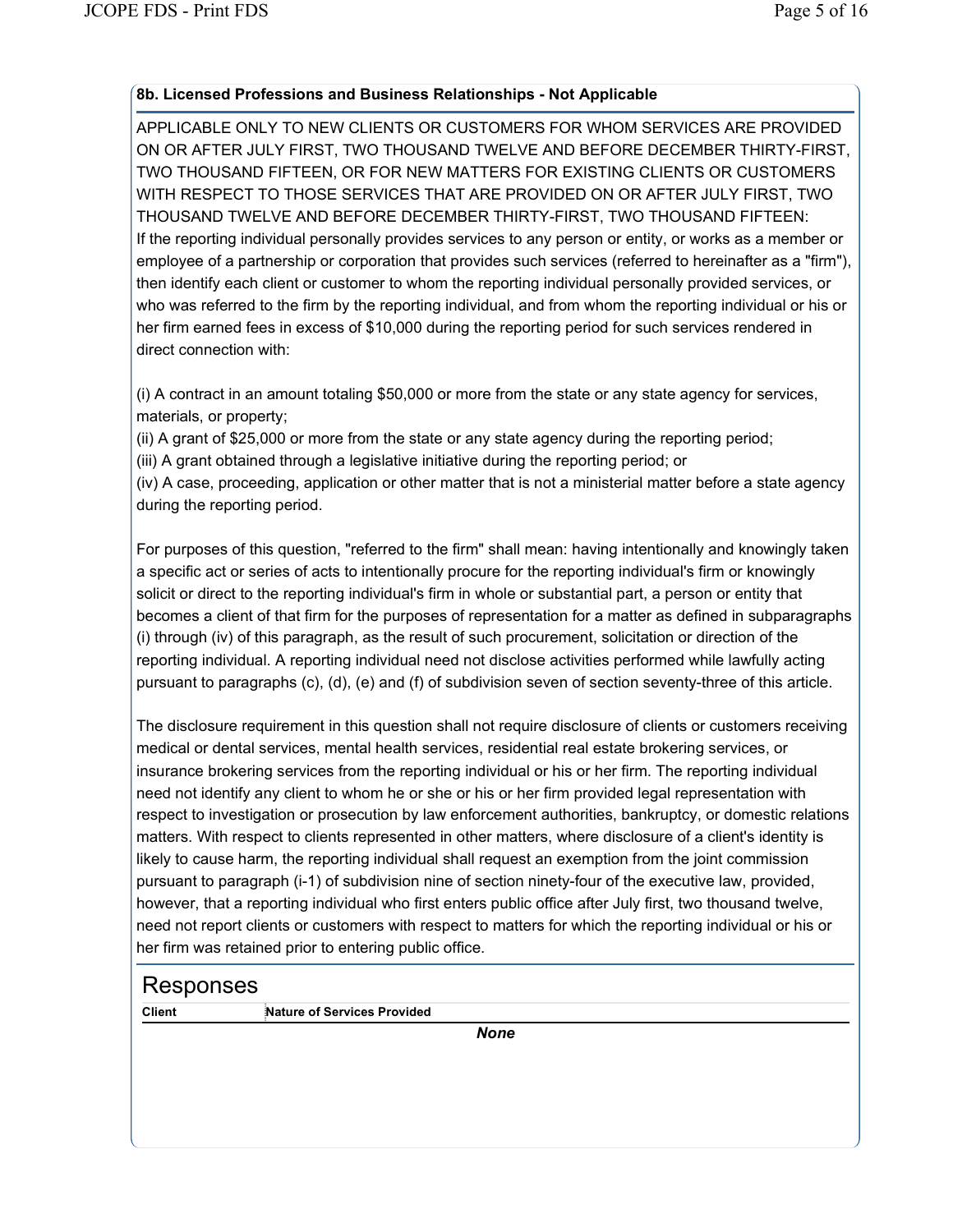### **8b. Licensed Professions and Business Relationships - Not Applicable**

APPLICABLE ONLY TO NEW CLIENTS OR CUSTOMERS FOR WHOM SERVICES ARE PROVIDED ON OR AFTER JULY FIRST, TWO THOUSAND TWELVE AND BEFORE DECEMBER THIRTY-FIRST, TWO THOUSAND FIFTEEN, OR FOR NEW MATTERS FOR EXISTING CLIENTS OR CUSTOMERS WITH RESPECT TO THOSE SERVICES THAT ARE PROVIDED ON OR AFTER JULY FIRST, TWO THOUSAND TWELVE AND BEFORE DECEMBER THIRTY-FIRST, TWO THOUSAND FIFTEEN: If the reporting individual personally provides services to any person or entity, or works as a member or employee of a partnership or corporation that provides such services (referred to hereinafter as a "firm"), then identify each client or customer to whom the reporting individual personally provided services, or who was referred to the firm by the reporting individual, and from whom the reporting individual or his or her firm earned fees in excess of \$10,000 during the reporting period for such services rendered in direct connection with:

(i) A contract in an amount totaling \$50,000 or more from the state or any state agency for services, materials, or property;

(ii) A grant of \$25,000 or more from the state or any state agency during the reporting period;

(iii) A grant obtained through a legislative initiative during the reporting period; or

(iv) A case, proceeding, application or other matter that is not a ministerial matter before a state agency during the reporting period.

For purposes of this question, "referred to the firm" shall mean: having intentionally and knowingly taken a specific act or series of acts to intentionally procure for the reporting individual's firm or knowingly solicit or direct to the reporting individual's firm in whole or substantial part, a person or entity that becomes a client of that firm for the purposes of representation for a matter as defined in subparagraphs (i) through (iv) of this paragraph, as the result of such procurement, solicitation or direction of the reporting individual. A reporting individual need not disclose activities performed while lawfully acting pursuant to paragraphs (c), (d), (e) and (f) of subdivision seven of section seventy-three of this article.

The disclosure requirement in this question shall not require disclosure of clients or customers receiving medical or dental services, mental health services, residential real estate brokering services, or insurance brokering services from the reporting individual or his or her firm. The reporting individual need not identify any client to whom he or she or his or her firm provided legal representation with respect to investigation or prosecution by law enforcement authorities, bankruptcy, or domestic relations matters. With respect to clients represented in other matters, where disclosure of a client's identity is likely to cause harm, the reporting individual shall request an exemption from the joint commission pursuant to paragraph (i-1) of subdivision nine of section ninety-four of the executive law, provided, however, that a reporting individual who first enters public office after July first, two thousand twelve, need not report clients or customers with respect to matters for which the reporting individual or his or her firm was retained prior to entering public office.

# Responses

**Client Client Services Provided**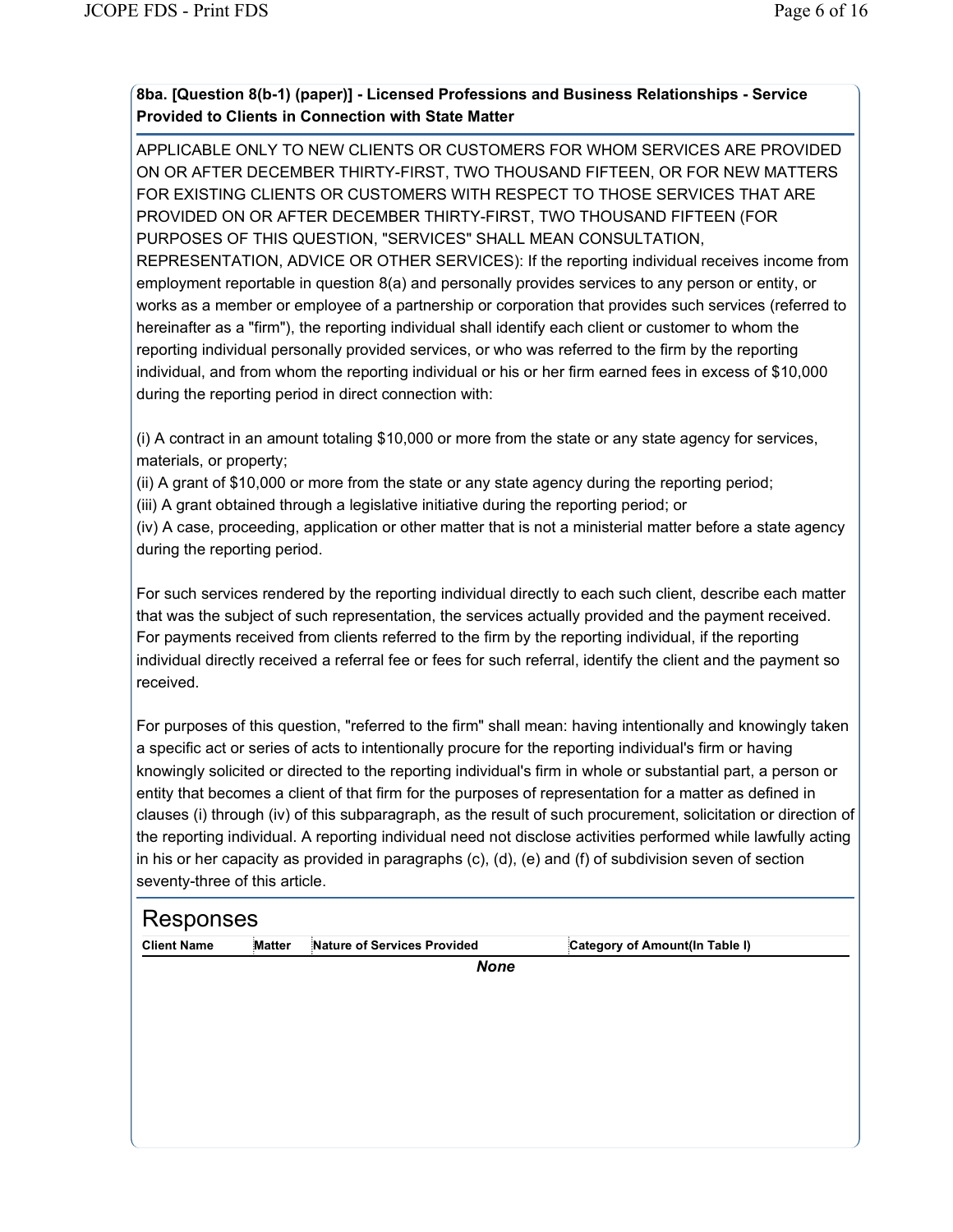## **8ba. [Question 8(b-1) (paper)] - Licensed Professions and Business Relationships - Service Provided to Clients in Connection with State Matter**

APPLICABLE ONLY TO NEW CLIENTS OR CUSTOMERS FOR WHOM SERVICES ARE PROVIDED ON OR AFTER DECEMBER THIRTY-FIRST, TWO THOUSAND FIFTEEN, OR FOR NEW MATTERS FOR EXISTING CLIENTS OR CUSTOMERS WITH RESPECT TO THOSE SERVICES THAT ARE PROVIDED ON OR AFTER DECEMBER THIRTY-FIRST, TWO THOUSAND FIFTEEN (FOR PURPOSES OF THIS QUESTION, "SERVICES" SHALL MEAN CONSULTATION, REPRESENTATION, ADVICE OR OTHER SERVICES): If the reporting individual receives income from employment reportable in question 8(a) and personally provides services to any person or entity, or works as a member or employee of a partnership or corporation that provides such services (referred to hereinafter as a "firm"), the reporting individual shall identify each client or customer to whom the reporting individual personally provided services, or who was referred to the firm by the reporting individual, and from whom the reporting individual or his or her firm earned fees in excess of \$10,000 during the reporting period in direct connection with:

(i) A contract in an amount totaling \$10,000 or more from the state or any state agency for services, materials, or property;

(ii) A grant of \$10,000 or more from the state or any state agency during the reporting period;

(iii) A grant obtained through a legislative initiative during the reporting period; or

(iv) A case, proceeding, application or other matter that is not a ministerial matter before a state agency during the reporting period.

For such services rendered by the reporting individual directly to each such client, describe each matter that was the subject of such representation, the services actually provided and the payment received. For payments received from clients referred to the firm by the reporting individual, if the reporting individual directly received a referral fee or fees for such referral, identify the client and the payment so received.

For purposes of this question, "referred to the firm" shall mean: having intentionally and knowingly taken a specific act or series of acts to intentionally procure for the reporting individual's firm or having knowingly solicited or directed to the reporting individual's firm in whole or substantial part, a person or entity that becomes a client of that firm for the purposes of representation for a matter as defined in clauses (i) through (iv) of this subparagraph, as the result of such procurement, solicitation or direction of the reporting individual. A reporting individual need not disclose activities performed while lawfully acting in his or her capacity as provided in paragraphs (c), (d), (e) and (f) of subdivision seven of section seventy-three of this article.

# Responses

| <b>Client Name</b> | <b>Matter</b> | Nature of Services Provided | Category of Amount(In Table I) |
|--------------------|---------------|-----------------------------|--------------------------------|
|                    |               |                             |                                |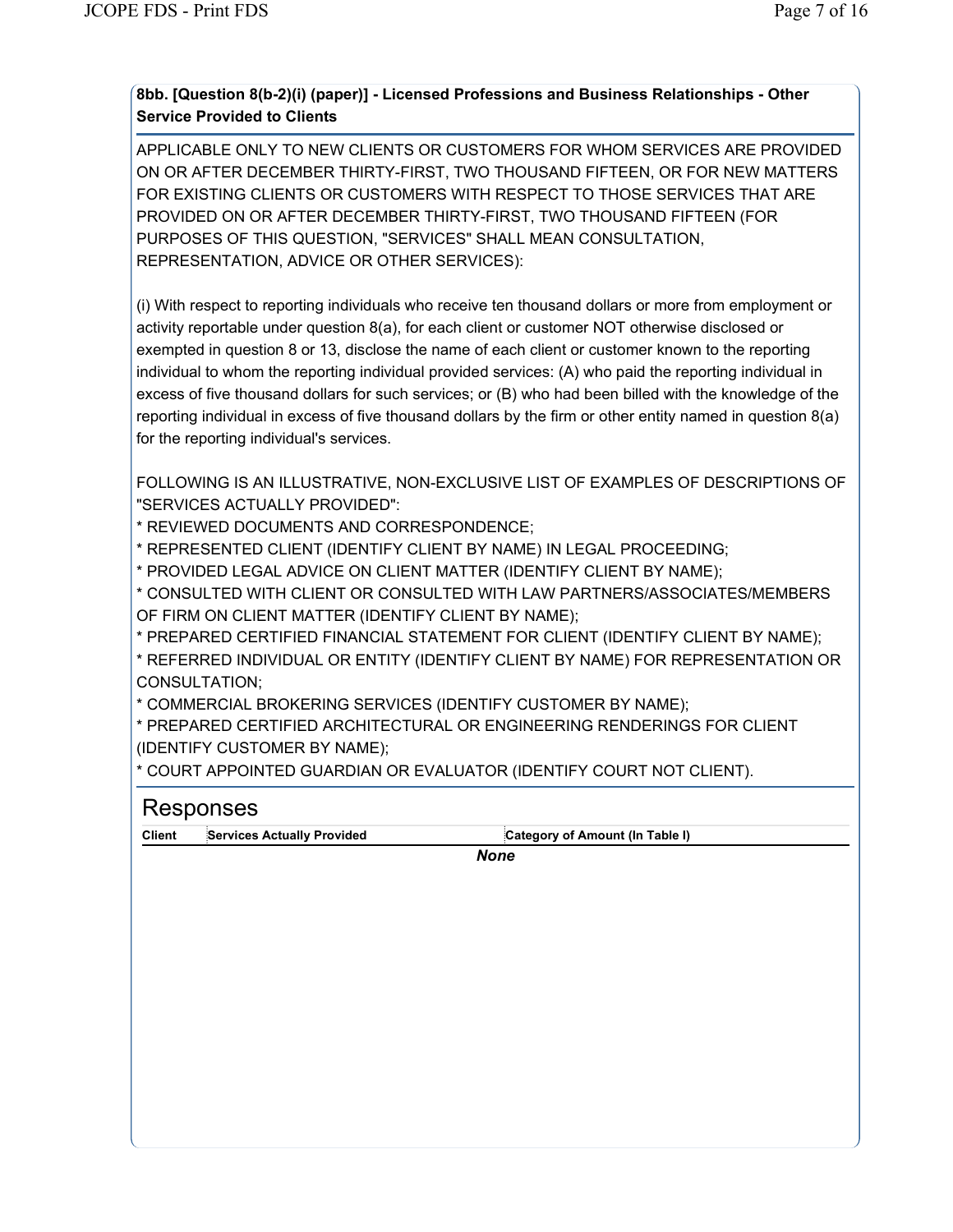## **8bb. [Question 8(b-2)(i) (paper)] - Licensed Professions and Business Relationships - Other Service Provided to Clients**

APPLICABLE ONLY TO NEW CLIENTS OR CUSTOMERS FOR WHOM SERVICES ARE PROVIDED ON OR AFTER DECEMBER THIRTY-FIRST, TWO THOUSAND FIFTEEN, OR FOR NEW MATTERS FOR EXISTING CLIENTS OR CUSTOMERS WITH RESPECT TO THOSE SERVICES THAT ARE PROVIDED ON OR AFTER DECEMBER THIRTY-FIRST, TWO THOUSAND FIFTEEN (FOR PURPOSES OF THIS QUESTION, "SERVICES" SHALL MEAN CONSULTATION, REPRESENTATION, ADVICE OR OTHER SERVICES):

(i) With respect to reporting individuals who receive ten thousand dollars or more from employment or activity reportable under question 8(a), for each client or customer NOT otherwise disclosed or exempted in question 8 or 13, disclose the name of each client or customer known to the reporting individual to whom the reporting individual provided services: (A) who paid the reporting individual in excess of five thousand dollars for such services; or (B) who had been billed with the knowledge of the reporting individual in excess of five thousand dollars by the firm or other entity named in question 8(a) for the reporting individual's services.

FOLLOWING IS AN ILLUSTRATIVE, NON-EXCLUSIVE LIST OF EXAMPLES OF DESCRIPTIONS OF "SERVICES ACTUALLY PROVIDED":

\* REVIEWED DOCUMENTS AND CORRESPONDENCE;

\* REPRESENTED CLIENT (IDENTIFY CLIENT BY NAME) IN LEGAL PROCEEDING;

\* PROVIDED LEGAL ADVICE ON CLIENT MATTER (IDENTIFY CLIENT BY NAME);

\* CONSULTED WITH CLIENT OR CONSULTED WITH LAW PARTNERS/ASSOCIATES/MEMBERS OF FIRM ON CLIENT MATTER (IDENTIFY CLIENT BY NAME);

\* PREPARED CERTIFIED FINANCIAL STATEMENT FOR CLIENT (IDENTIFY CLIENT BY NAME);

\* REFERRED INDIVIDUAL OR ENTITY (IDENTIFY CLIENT BY NAME) FOR REPRESENTATION OR CONSULTATION;

\* COMMERCIAL BROKERING SERVICES (IDENTIFY CUSTOMER BY NAME);

\* PREPARED CERTIFIED ARCHITECTURAL OR ENGINEERING RENDERINGS FOR CLIENT (IDENTIFY CUSTOMER BY NAME);

\* COURT APPOINTED GUARDIAN OR EVALUATOR (IDENTIFY COURT NOT CLIENT).

| <b>Client</b> | <b>Services Actually Provided</b> | Category of Amount (In Table I) |  |
|---------------|-----------------------------------|---------------------------------|--|
|               |                                   | <b>None</b>                     |  |
|               |                                   |                                 |  |
|               |                                   |                                 |  |
|               |                                   |                                 |  |
|               |                                   |                                 |  |
|               |                                   |                                 |  |
|               |                                   |                                 |  |
|               |                                   |                                 |  |
|               |                                   |                                 |  |
|               |                                   |                                 |  |
|               |                                   |                                 |  |
|               |                                   |                                 |  |
|               |                                   |                                 |  |
|               |                                   |                                 |  |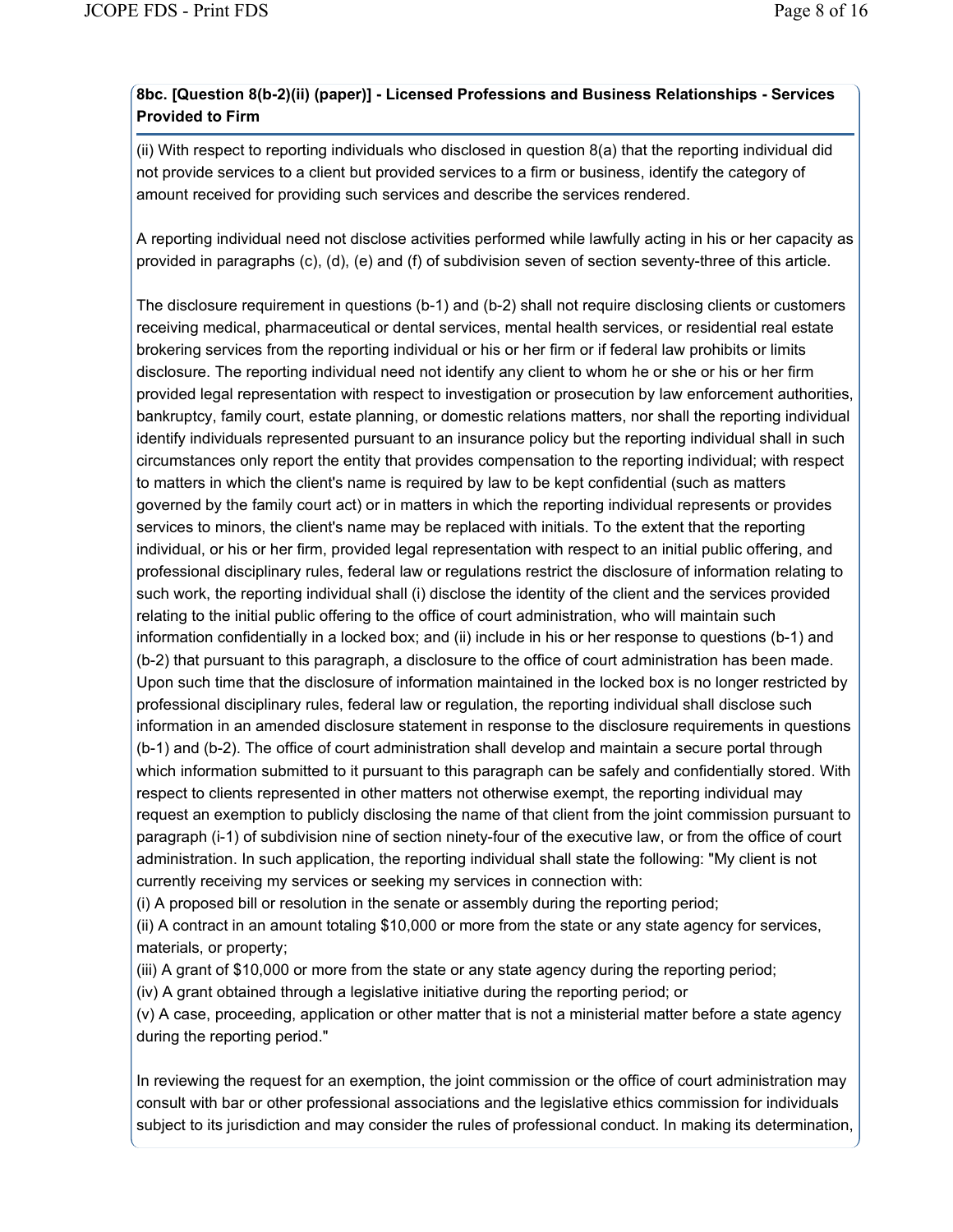## **8bc. [Question 8(b-2)(ii) (paper)] - Licensed Professions and Business Relationships - Services Provided to Firm**

(ii) With respect to reporting individuals who disclosed in question 8(a) that the reporting individual did not provide services to a client but provided services to a firm or business, identify the category of amount received for providing such services and describe the services rendered.

A reporting individual need not disclose activities performed while lawfully acting in his or her capacity as provided in paragraphs (c), (d), (e) and (f) of subdivision seven of section seventy-three of this article.

The disclosure requirement in questions (b-1) and (b-2) shall not require disclosing clients or customers receiving medical, pharmaceutical or dental services, mental health services, or residential real estate brokering services from the reporting individual or his or her firm or if federal law prohibits or limits disclosure. The reporting individual need not identify any client to whom he or she or his or her firm provided legal representation with respect to investigation or prosecution by law enforcement authorities, bankruptcy, family court, estate planning, or domestic relations matters, nor shall the reporting individual identify individuals represented pursuant to an insurance policy but the reporting individual shall in such circumstances only report the entity that provides compensation to the reporting individual; with respect to matters in which the client's name is required by law to be kept confidential (such as matters governed by the family court act) or in matters in which the reporting individual represents or provides services to minors, the client's name may be replaced with initials. To the extent that the reporting individual, or his or her firm, provided legal representation with respect to an initial public offering, and professional disciplinary rules, federal law or regulations restrict the disclosure of information relating to such work, the reporting individual shall (i) disclose the identity of the client and the services provided relating to the initial public offering to the office of court administration, who will maintain such information confidentially in a locked box; and (ii) include in his or her response to questions (b-1) and (b-2) that pursuant to this paragraph, a disclosure to the office of court administration has been made. Upon such time that the disclosure of information maintained in the locked box is no longer restricted by professional disciplinary rules, federal law or regulation, the reporting individual shall disclose such information in an amended disclosure statement in response to the disclosure requirements in questions (b-1) and (b-2). The office of court administration shall develop and maintain a secure portal through which information submitted to it pursuant to this paragraph can be safely and confidentially stored. With respect to clients represented in other matters not otherwise exempt, the reporting individual may request an exemption to publicly disclosing the name of that client from the joint commission pursuant to paragraph (i-1) of subdivision nine of section ninety-four of the executive law, or from the office of court administration. In such application, the reporting individual shall state the following: "My client is not currently receiving my services or seeking my services in connection with:

(i) A proposed bill or resolution in the senate or assembly during the reporting period;

(ii) A contract in an amount totaling \$10,000 or more from the state or any state agency for services, materials, or property;

(iii) A grant of \$10,000 or more from the state or any state agency during the reporting period;

(iv) A grant obtained through a legislative initiative during the reporting period; or

(v) A case, proceeding, application or other matter that is not a ministerial matter before a state agency during the reporting period."

In reviewing the request for an exemption, the joint commission or the office of court administration may consult with bar or other professional associations and the legislative ethics commission for individuals subject to its jurisdiction and may consider the rules of professional conduct. In making its determination,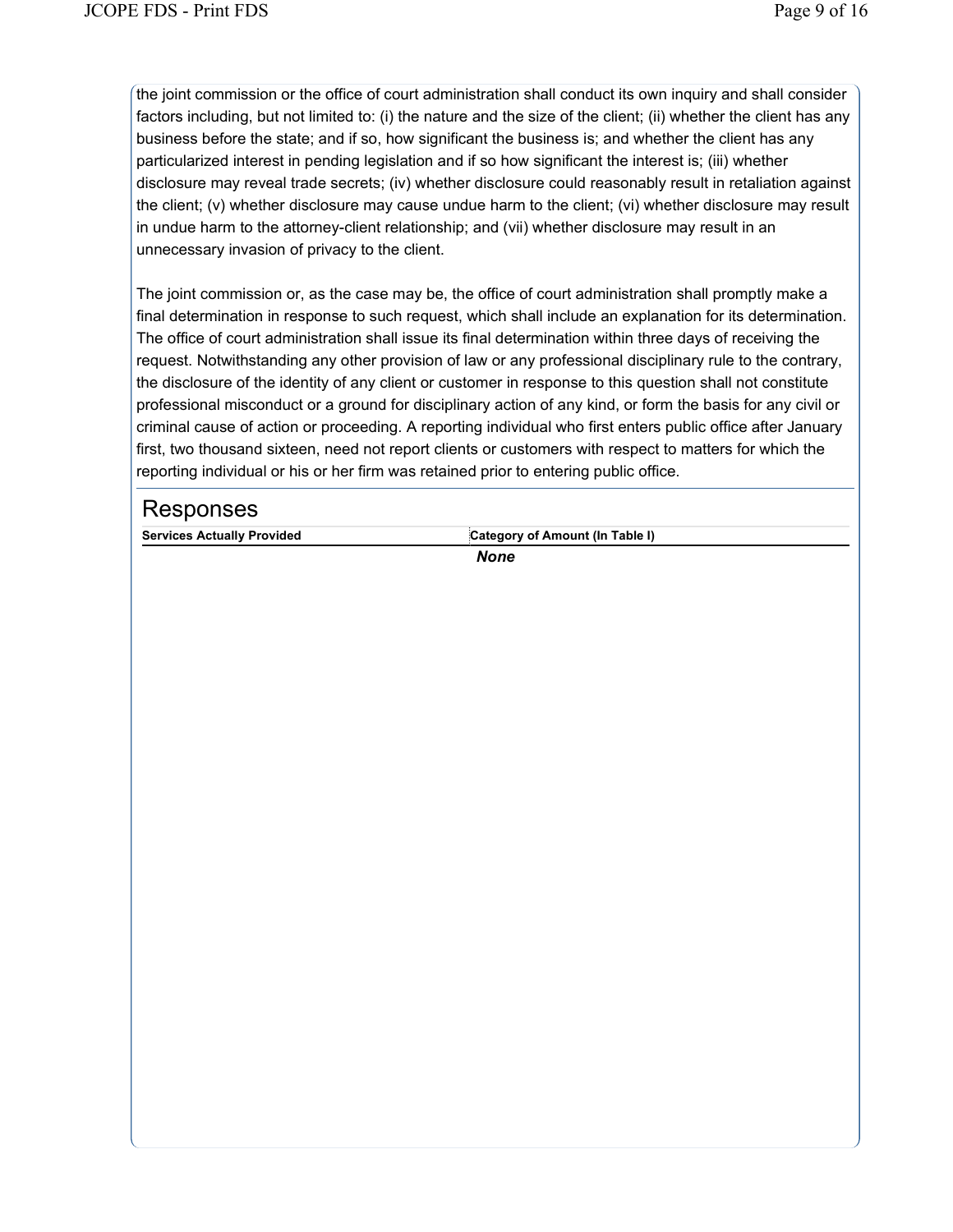the joint commission or the office of court administration shall conduct its own inquiry and shall consider factors including, but not limited to: (i) the nature and the size of the client; (ii) whether the client has any business before the state; and if so, how significant the business is; and whether the client has any particularized interest in pending legislation and if so how significant the interest is; (iii) whether disclosure may reveal trade secrets; (iv) whether disclosure could reasonably result in retaliation against the client; (v) whether disclosure may cause undue harm to the client; (vi) whether disclosure may result in undue harm to the attorney-client relationship; and (vii) whether disclosure may result in an unnecessary invasion of privacy to the client.

The joint commission or, as the case may be, the office of court administration shall promptly make a final determination in response to such request, which shall include an explanation for its determination. The office of court administration shall issue its final determination within three days of receiving the request. Notwithstanding any other provision of law or any professional disciplinary rule to the contrary, the disclosure of the identity of any client or customer in response to this question shall not constitute professional misconduct or a ground for disciplinary action of any kind, or form the basis for any civil or criminal cause of action or proceeding. A reporting individual who first enters public office after January first, two thousand sixteen, need not report clients or customers with respect to matters for which the reporting individual or his or her firm was retained prior to entering public office.

# Responses

Services Actually Provided **Category of Amount (In Table I)**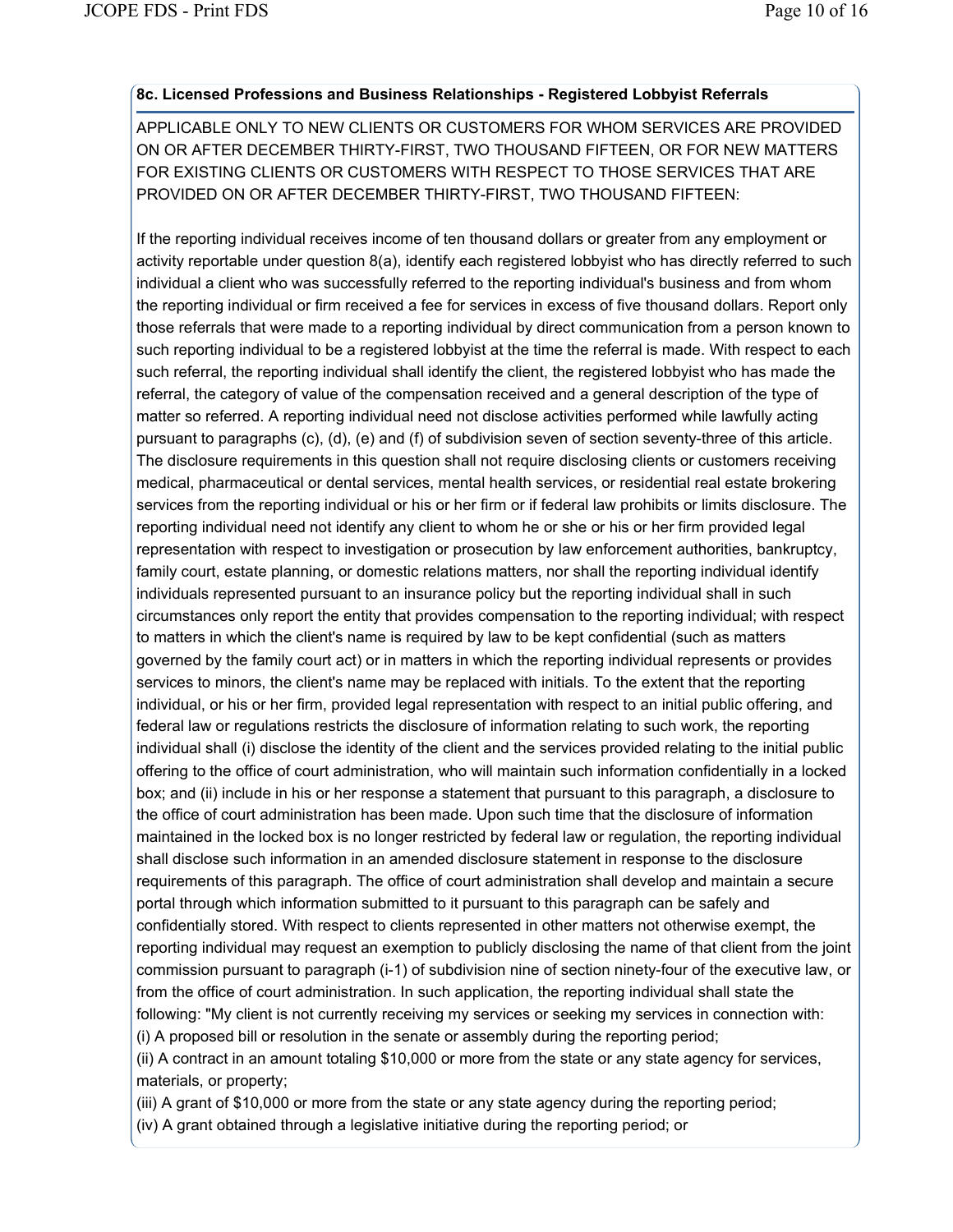#### **8c. Licensed Professions and Business Relationships - Registered Lobbyist Referrals**

APPLICABLE ONLY TO NEW CLIENTS OR CUSTOMERS FOR WHOM SERVICES ARE PROVIDED ON OR AFTER DECEMBER THIRTY-FIRST, TWO THOUSAND FIFTEEN, OR FOR NEW MATTERS FOR EXISTING CLIENTS OR CUSTOMERS WITH RESPECT TO THOSE SERVICES THAT ARE PROVIDED ON OR AFTER DECEMBER THIRTY-FIRST, TWO THOUSAND FIFTEEN:

If the reporting individual receives income of ten thousand dollars or greater from any employment or activity reportable under question 8(a), identify each registered lobbyist who has directly referred to such individual a client who was successfully referred to the reporting individual's business and from whom the reporting individual or firm received a fee for services in excess of five thousand dollars. Report only those referrals that were made to a reporting individual by direct communication from a person known to such reporting individual to be a registered lobbyist at the time the referral is made. With respect to each such referral, the reporting individual shall identify the client, the registered lobbyist who has made the referral, the category of value of the compensation received and a general description of the type of matter so referred. A reporting individual need not disclose activities performed while lawfully acting pursuant to paragraphs (c), (d), (e) and (f) of subdivision seven of section seventy-three of this article. The disclosure requirements in this question shall not require disclosing clients or customers receiving medical, pharmaceutical or dental services, mental health services, or residential real estate brokering services from the reporting individual or his or her firm or if federal law prohibits or limits disclosure. The reporting individual need not identify any client to whom he or she or his or her firm provided legal representation with respect to investigation or prosecution by law enforcement authorities, bankruptcy, family court, estate planning, or domestic relations matters, nor shall the reporting individual identify individuals represented pursuant to an insurance policy but the reporting individual shall in such circumstances only report the entity that provides compensation to the reporting individual; with respect to matters in which the client's name is required by law to be kept confidential (such as matters governed by the family court act) or in matters in which the reporting individual represents or provides services to minors, the client's name may be replaced with initials. To the extent that the reporting individual, or his or her firm, provided legal representation with respect to an initial public offering, and federal law or regulations restricts the disclosure of information relating to such work, the reporting individual shall (i) disclose the identity of the client and the services provided relating to the initial public offering to the office of court administration, who will maintain such information confidentially in a locked box; and (ii) include in his or her response a statement that pursuant to this paragraph, a disclosure to the office of court administration has been made. Upon such time that the disclosure of information maintained in the locked box is no longer restricted by federal law or regulation, the reporting individual shall disclose such information in an amended disclosure statement in response to the disclosure requirements of this paragraph. The office of court administration shall develop and maintain a secure portal through which information submitted to it pursuant to this paragraph can be safely and confidentially stored. With respect to clients represented in other matters not otherwise exempt, the reporting individual may request an exemption to publicly disclosing the name of that client from the joint commission pursuant to paragraph (i-1) of subdivision nine of section ninety-four of the executive law, or from the office of court administration. In such application, the reporting individual shall state the following: "My client is not currently receiving my services or seeking my services in connection with: (i) A proposed bill or resolution in the senate or assembly during the reporting period;

(ii) A contract in an amount totaling \$10,000 or more from the state or any state agency for services, materials, or property;

(iii) A grant of \$10,000 or more from the state or any state agency during the reporting period;

(iv) A grant obtained through a legislative initiative during the reporting period; or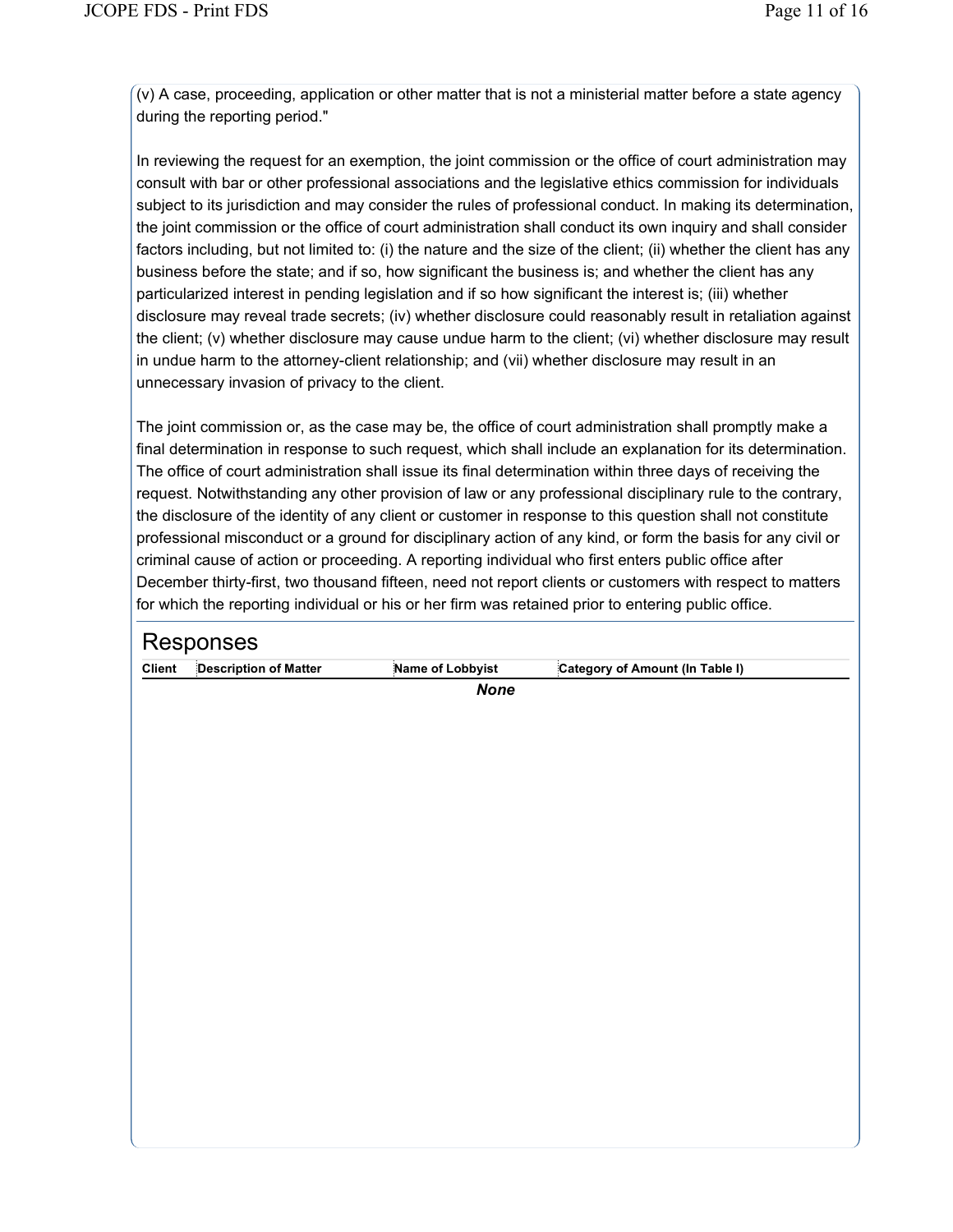(v) A case, proceeding, application or other matter that is not a ministerial matter before a state agency during the reporting period."

In reviewing the request for an exemption, the joint commission or the office of court administration may consult with bar or other professional associations and the legislative ethics commission for individuals subject to its jurisdiction and may consider the rules of professional conduct. In making its determination, the joint commission or the office of court administration shall conduct its own inquiry and shall consider factors including, but not limited to: (i) the nature and the size of the client; (ii) whether the client has any business before the state; and if so, how significant the business is; and whether the client has any particularized interest in pending legislation and if so how significant the interest is; (iii) whether disclosure may reveal trade secrets; (iv) whether disclosure could reasonably result in retaliation against the client; (v) whether disclosure may cause undue harm to the client; (vi) whether disclosure may result in undue harm to the attorney-client relationship; and (vii) whether disclosure may result in an unnecessary invasion of privacy to the client.

The joint commission or, as the case may be, the office of court administration shall promptly make a final determination in response to such request, which shall include an explanation for its determination. The office of court administration shall issue its final determination within three days of receiving the request. Notwithstanding any other provision of law or any professional disciplinary rule to the contrary, the disclosure of the identity of any client or customer in response to this question shall not constitute professional misconduct or a ground for disciplinary action of any kind, or form the basis for any civil or criminal cause of action or proceeding. A reporting individual who first enters public office after December thirty-first, two thousand fifteen, need not report clients or customers with respect to matters for which the reporting individual or his or her firm was retained prior to entering public office.

|               | Responses                    |                  |                                 |  |  |
|---------------|------------------------------|------------------|---------------------------------|--|--|
| <b>Client</b> | <b>Description of Matter</b> | Name of Lobbyist | Category of Amount (In Table I) |  |  |
|               |                              | <b>None</b>      |                                 |  |  |
|               |                              |                  |                                 |  |  |
|               |                              |                  |                                 |  |  |
|               |                              |                  |                                 |  |  |
|               |                              |                  |                                 |  |  |
|               |                              |                  |                                 |  |  |
|               |                              |                  |                                 |  |  |
|               |                              |                  |                                 |  |  |
|               |                              |                  |                                 |  |  |
|               |                              |                  |                                 |  |  |
|               |                              |                  |                                 |  |  |
|               |                              |                  |                                 |  |  |
|               |                              |                  |                                 |  |  |
|               |                              |                  |                                 |  |  |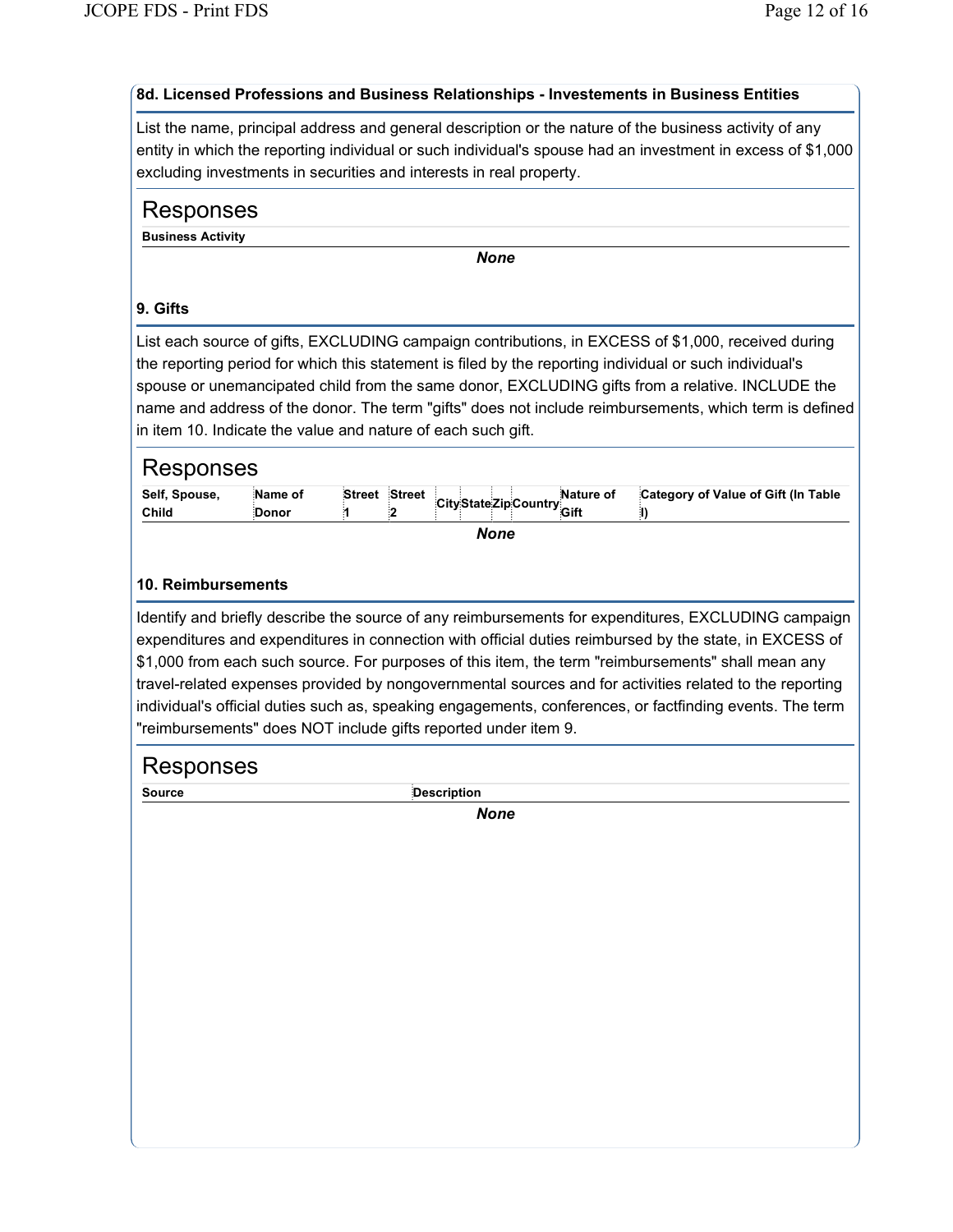# **8d. Licensed Professions and Business Relationships - Investements in Business Entities**

List the name, principal address and general description or the nature of the business activity of any entity in which the reporting individual or such individual's spouse had an investment in excess of \$1,000 excluding investments in securities and interests in real property.

# Responses

**Business Activity**

*None*

## **9. Gifts**

List each source of gifts, EXCLUDING campaign contributions, in EXCESS of \$1,000, received during the reporting period for which this statement is filed by the reporting individual or such individual's spouse or unemancipated child from the same donor, EXCLUDING gifts from a relative. INCLUDE the name and address of the donor. The term "gifts" does not include reimbursements, which term is defined in item 10. Indicate the value and nature of each such gift.

| Self, Spouse,<br>Child | Name of<br><b>Donor</b> |  |  |  |  | Street Street City State Zip Country Gift in | Category of Value of Gift (In Table |
|------------------------|-------------------------|--|--|--|--|----------------------------------------------|-------------------------------------|
|                        |                         |  |  |  |  |                                              |                                     |

*None*

### **10. Reimbursements**

Identify and briefly describe the source of any reimbursements for expenditures, EXCLUDING campaign expenditures and expenditures in connection with official duties reimbursed by the state, in EXCESS of \$1,000 from each such source. For purposes of this item, the term "reimbursements" shall mean any travel-related expenses provided by nongovernmental sources and for activities related to the reporting individual's official duties such as, speaking engagements, conferences, or factfinding events. The term "reimbursements" does NOT include gifts reported under item 9.

# Responses

**Source Description**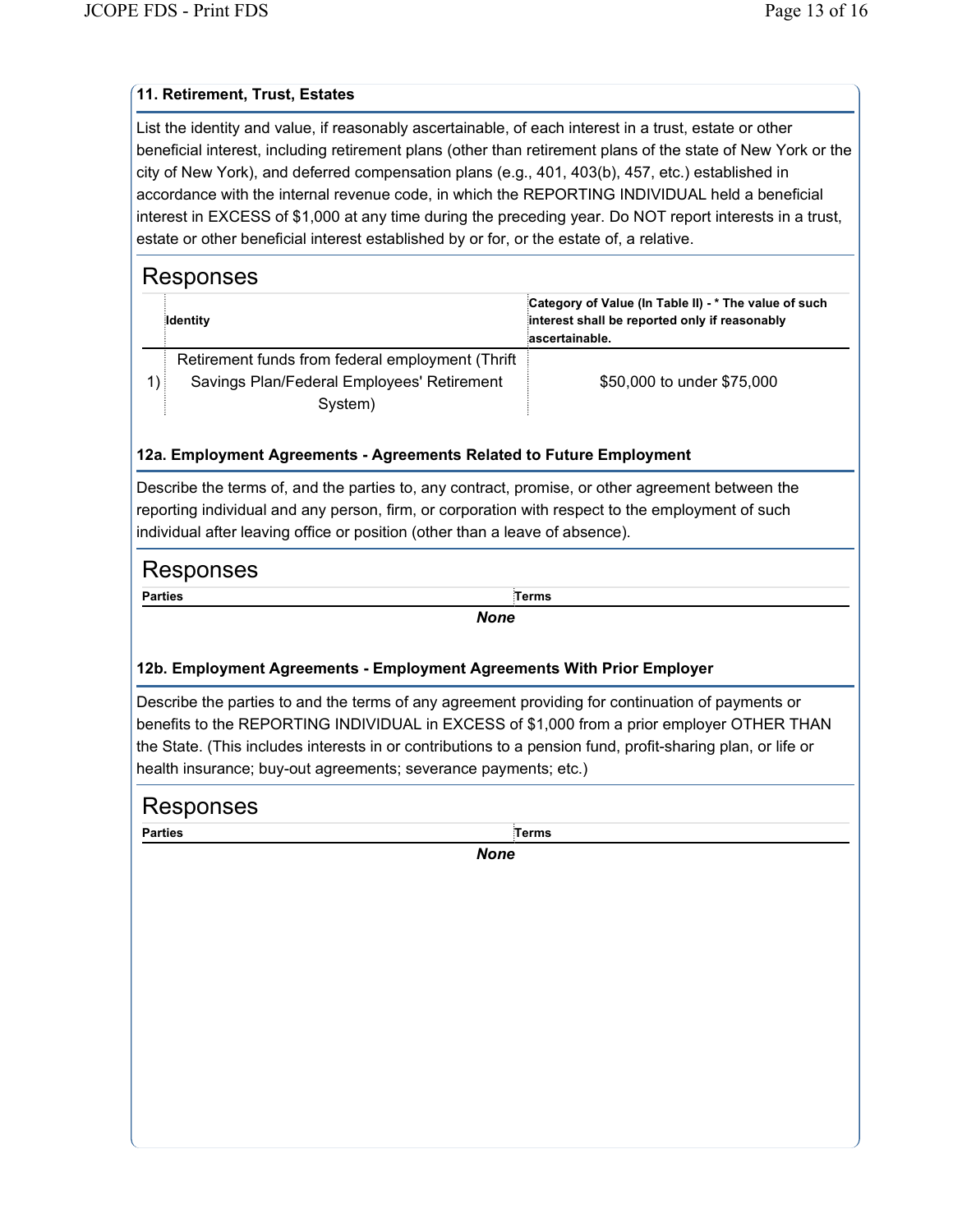### **11. Retirement, Trust, Estates**

List the identity and value, if reasonably ascertainable, of each interest in a trust, estate or other beneficial interest, including retirement plans (other than retirement plans of the state of New York or the city of New York), and deferred compensation plans (e.g., 401, 403(b), 457, etc.) established in accordance with the internal revenue code, in which the REPORTING INDIVIDUAL held a beneficial interest in EXCESS of \$1,000 at any time during the preceding year. Do NOT report interests in a trust, estate or other beneficial interest established by or for, or the estate of, a relative.

| Responses                                                                                                          |                                                                                                                          |
|--------------------------------------------------------------------------------------------------------------------|--------------------------------------------------------------------------------------------------------------------------|
| ldentity                                                                                                           | Category of Value (in Table II) - * The value of such<br>interest shall be reported only if reasonably<br>ascertainable. |
| Retirement funds from federal employment (Thrift)<br>Savings Plan/Federal Employees' Retirement<br>1) i<br>System) | \$50,000 to under \$75,000                                                                                               |

#### **12a. Employment Agreements - Agreements Related to Future Employment**

Describe the terms of, and the parties to, any contract, promise, or other agreement between the reporting individual and any person, firm, or corporation with respect to the employment of such individual after leaving office or position (other than a leave of absence).

# Responses

**Parties Terms**

*None*

## **12b. Employment Agreements - Employment Agreements With Prior Employer**

Describe the parties to and the terms of any agreement providing for continuation of payments or benefits to the REPORTING INDIVIDUAL in EXCESS of \$1,000 from a prior employer OTHER THAN the State. (This includes interests in or contributions to a pension fund, profit-sharing plan, or life or health insurance; buy-out agreements; severance payments; etc.)

| Responses      |             |  |
|----------------|-------------|--|
| <b>Parties</b> | Terms       |  |
|                | <b>None</b> |  |
|                |             |  |
|                |             |  |
|                |             |  |
|                |             |  |
|                |             |  |
|                |             |  |
|                |             |  |
|                |             |  |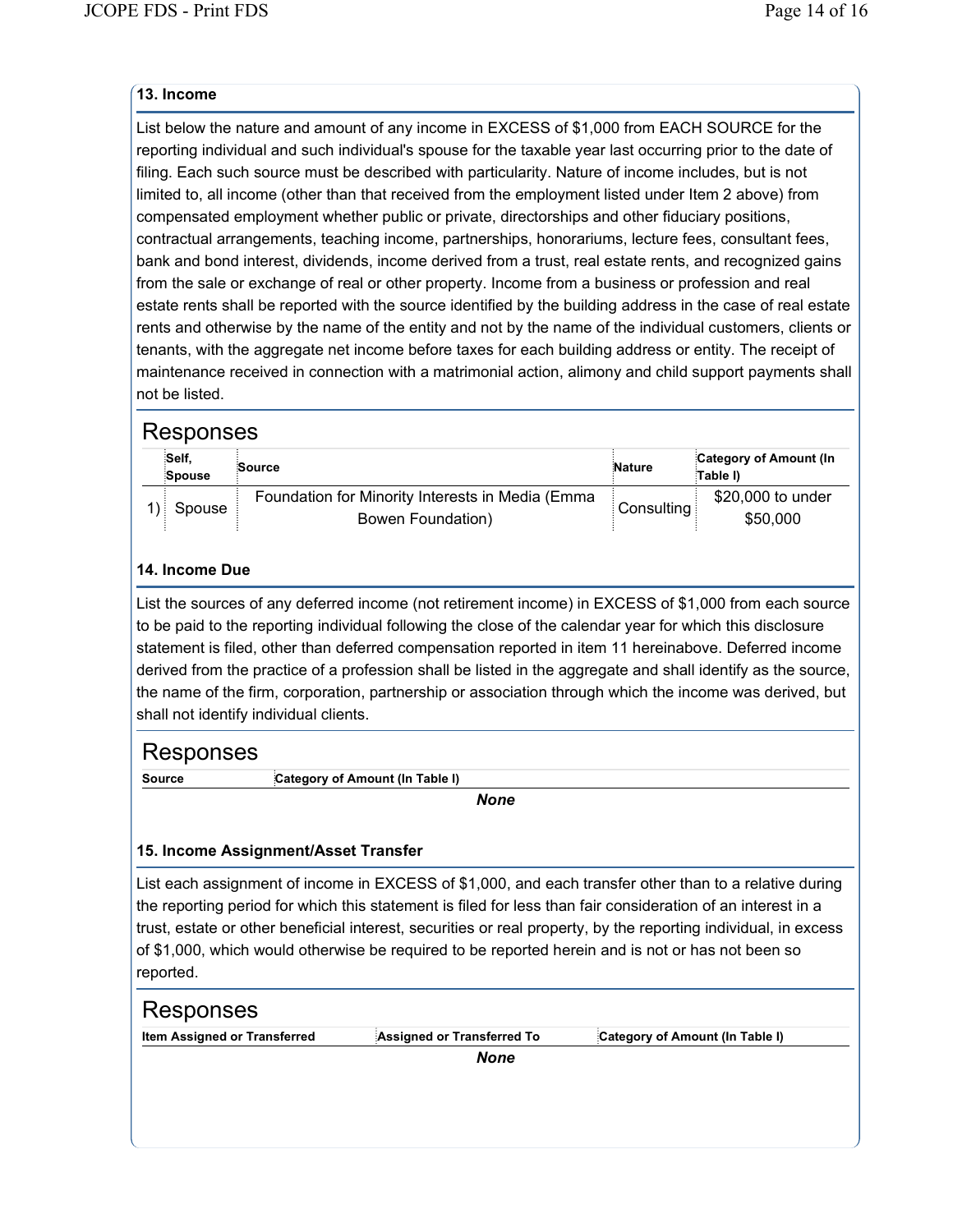### **13. Income**

List below the nature and amount of any income in EXCESS of \$1,000 from EACH SOURCE for the reporting individual and such individual's spouse for the taxable year last occurring prior to the date of filing. Each such source must be described with particularity. Nature of income includes, but is not limited to, all income (other than that received from the employment listed under Item 2 above) from compensated employment whether public or private, directorships and other fiduciary positions, contractual arrangements, teaching income, partnerships, honorariums, lecture fees, consultant fees, bank and bond interest, dividends, income derived from a trust, real estate rents, and recognized gains from the sale or exchange of real or other property. Income from a business or profession and real estate rents shall be reported with the source identified by the building address in the case of real estate rents and otherwise by the name of the entity and not by the name of the individual customers, clients or tenants, with the aggregate net income before taxes for each building address or entity. The receipt of maintenance received in connection with a matrimonial action, alimony and child support payments shall not be listed.

## Responses

| :Self,<br>Spouse | Source                                                                | <b>Nature</b> | Category of Amount (In<br>Table I) |
|------------------|-----------------------------------------------------------------------|---------------|------------------------------------|
| 1) Spouse        | Foundation for Minority Interests in Media (Emma<br>Bowen Foundation) | Consulting    | \$20,000 to under<br>\$50,000      |

## **14. Income Due**

List the sources of any deferred income (not retirement income) in EXCESS of \$1,000 from each source to be paid to the reporting individual following the close of the calendar year for which this disclosure statement is filed, other than deferred compensation reported in item 11 hereinabove. Deferred income derived from the practice of a profession shall be listed in the aggregate and shall identify as the source, the name of the firm, corporation, partnership or association through which the income was derived, but shall not identify individual clients.

# Responses

**Source Category of Amount (In Table I)**

*None*

## **15. Income Assignment/Asset Transfer**

List each assignment of income in EXCESS of \$1,000, and each transfer other than to a relative during the reporting period for which this statement is filed for less than fair consideration of an interest in a trust, estate or other beneficial interest, securities or real property, by the reporting individual, in excess of \$1,000, which would otherwise be required to be reported herein and is not or has not been so reported.

| Responses                    |                            |                                 |
|------------------------------|----------------------------|---------------------------------|
| Item Assigned or Transferred | Assigned or Transferred To | Category of Amount (In Table I) |
|                              | <b>None</b>                |                                 |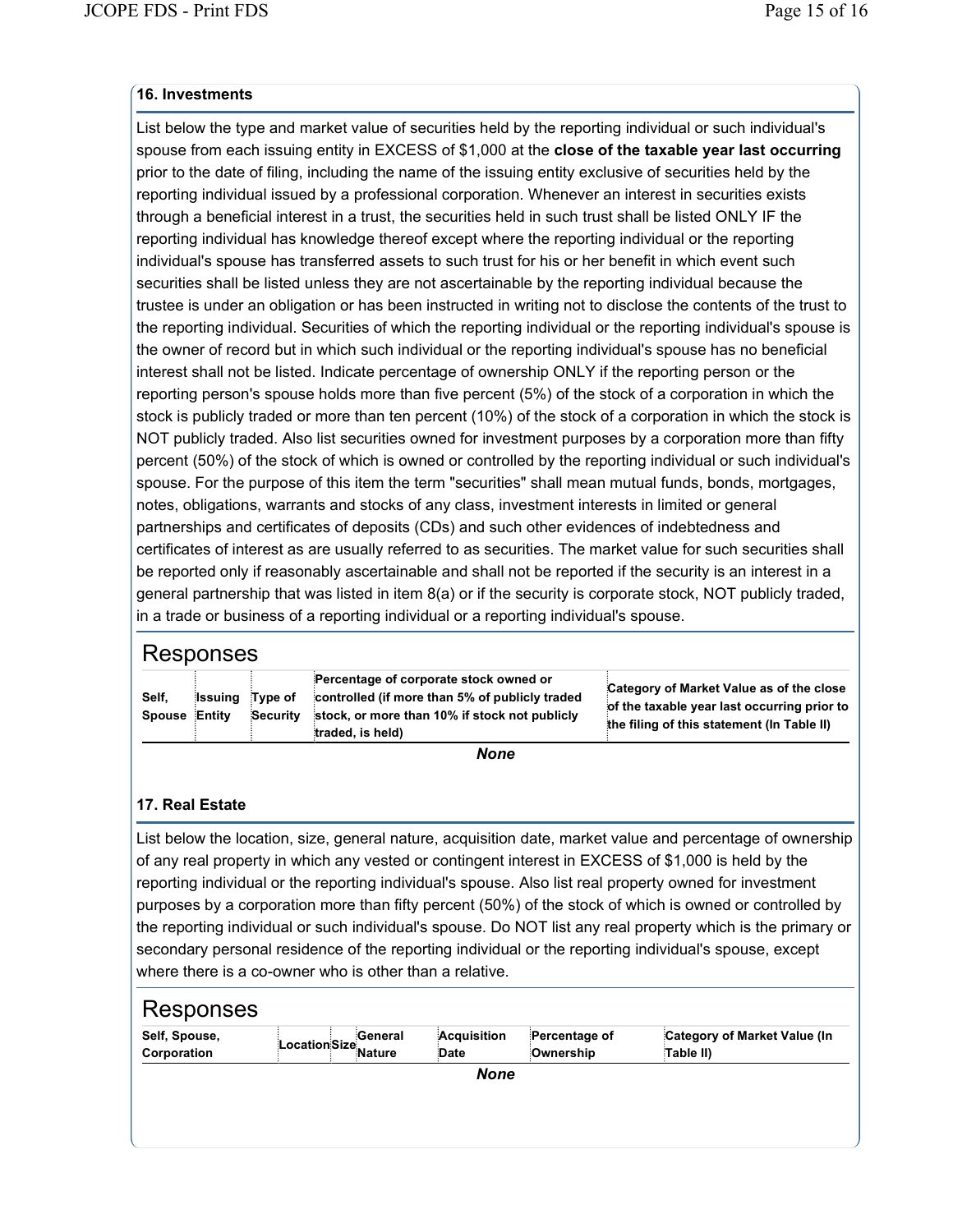### **16. Investments**

List below the type and market value of securities held by the reporting individual or such individual's spouse from each issuing entity in EXCESS of \$1,000 at the **close of the taxable year last occurring** prior to the date of filing, including the name of the issuing entity exclusive of securities held by the reporting individual issued by a professional corporation. Whenever an interest in securities exists through a beneficial interest in a trust, the securities held in such trust shall be listed ONLY IF the reporting individual has knowledge thereof except where the reporting individual or the reporting individual's spouse has transferred assets to such trust for his or her benefit in which event such securities shall be listed unless they are not ascertainable by the reporting individual because the trustee is under an obligation or has been instructed in writing not to disclose the contents of the trust to the reporting individual. Securities of which the reporting individual or the reporting individual's spouse is the owner of record but in which such individual or the reporting individual's spouse has no beneficial interest shall not be listed. Indicate percentage of ownership ONLY if the reporting person or the reporting person's spouse holds more than five percent (5%) of the stock of a corporation in which the stock is publicly traded or more than ten percent (10%) of the stock of a corporation in which the stock is NOT publicly traded. Also list securities owned for investment purposes by a corporation more than fifty percent (50%) of the stock of which is owned or controlled by the reporting individual or such individual's spouse. For the purpose of this item the term "securities" shall mean mutual funds, bonds, mortgages, notes, obligations, warrants and stocks of any class, investment interests in limited or general partnerships and certificates of deposits (CDs) and such other evidences of indebtedness and certificates of interest as are usually referred to as securities. The market value for such securities shall be reported only if reasonably ascertainable and shall not be reported if the security is an interest in a general partnership that was listed in item 8(a) or if the security is corporate stock, NOT publicly traded, in a trade or business of a reporting individual or a reporting individual's spouse.

# Responses

|                      |         |          | Percentage of corporate stock owned or         | Category of Market Value as of the close    |
|----------------------|---------|----------|------------------------------------------------|---------------------------------------------|
| Self,                | Issuina | Tvpe of  | controlled (if more than 5% of publicly traded | of the taxable year last occurring prior to |
| <b>Spouse Entity</b> |         | Security | stock, or more than 10% if stock not publicly  | the filing of this statement (In Table II)  |
|                      |         |          | traded, is held)                               |                                             |

*None*

### **17. Real Estate**

List below the location, size, general nature, acquisition date, market value and percentage of ownership of any real property in which any vested or contingent interest in EXCESS of \$1,000 is held by the reporting individual or the reporting individual's spouse. Also list real property owned for investment purposes by a corporation more than fifty percent (50%) of the stock of which is owned or controlled by the reporting individual or such individual's spouse. Do NOT list any real property which is the primary or secondary personal residence of the reporting individual or the reporting individual's spouse, except where there is a co-owner who is other than a relative.

| Self, Spouse,<br>Corporation | Location Size<br>Nature | <b>General</b> | Acquisition<br>Date | Percentage of<br>Ownership | Category of Market Value (In<br>Table II) |  |
|------------------------------|-------------------------|----------------|---------------------|----------------------------|-------------------------------------------|--|
| None                         |                         |                |                     |                            |                                           |  |